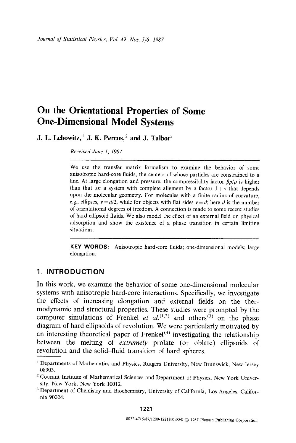# **On the Orientational Properties of Some One-Dimensional Model Systems**

**J. L. Lebowitz, 1 J. K. Percus, 2 and J. Talbot 3** 

*Received June 1, 1987* 

We use the transfer matrix formalism to examine the behavior of some anisotropic hard-core fluids, the centers of whose particles are constrained to a line. At large elongation and pressure, the compressibility factor  $\beta p/\rho$  is higher than that for a system with complete aligment by a factor  $1 + v$  that depends upon the molecular geometry. For molecules with a finite radius of curvature, e.g., ellipses,  $v = d/2$ , while for objects with flat sides  $v = d$ ; here d is the number of orientational degrees of freedom. A connection is made to some recent studies of hard ellipsoid fluids. We also model the effect of an external field on physical adsorption and show the existence of a phase transition in certain limiting situations.

**KEY WORDS:** Anisotropic hard-core fluids; one-dimensional models; large elongation.

## **1, INTRODUCTION**

In this work, we examine the behavior of some one-dimensional molecular systems with anisotropic hard-core interactions. Specifically, we investigate the effects of increasing elongation and external fields on the thermodynamic and structural properties. These studies were prompted by the computer simulations of Frenkel *et al.*<sup>(1,2)</sup> and others<sup>(3)</sup> on the phase diagram of hard ellipsoids of revolution. We were particularly motivated by an interesting theoretical paper of  $Frenkel<sup>(4)</sup>$  investigating the relationship between the melting of *extremely* prolate (or oblate) ellipsoids of revolution and the solid-fluid transition of hard spheres.

<sup>&</sup>lt;sup>1</sup> Departments of Mathematics and Physics, Rutgers University, New Brunswick, New Jersey 08903.

<sup>&</sup>lt;sup>2</sup> Courant Institute of Mathematical Sciences and Department of Physics, New York University, New York, New York 10012.

<sup>&</sup>lt;sup>3</sup> Department of Chemistry and Biochemistry, University of California, Los Angeles, California 90024.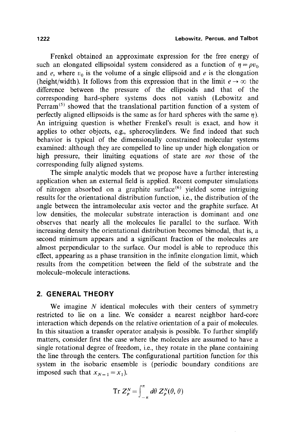Frenkel obtained an approximate expression for the free energy of such an elongated ellipsoidal system considered as a function of  $\eta = \rho v_0$ and e, where  $v_0$  is the volume of a single ellipsoid and e is the elongation (height/width). It follows from this expression that in the limit  $e \rightarrow \infty$  the difference between the pressure of the ellipsoids and that of the corresponding hard-sphere systems does not vanish (Lebowitz and Perram<sup> $(5)$ </sup> showed that the translational partition function of a system of perfectly aligned ellipsoids is the same as for hard spheres with the same  $\eta$ ). An intriguing question is whether Frenkel's result is exact, and how it applies to other objects, e.g., spherocylinders. We find indeed that such behavior is typical of the dimensionally constrained molecular systems examined: although they are compelled to line up under high elongation or high pressure, their limiting equations of state are *not* those of the corresponding fully aligned systems.

The simple analytic models that we propose have a further interesting application when an external field is applied. Recent computer simulations of nitrogen absorbed on a graphite surface<sup> $(6)$ </sup> yielded some intriguing results for the orientational distribution function, i.e., the distribution of the angle between the intramolecular axis vector and the graphite surface. At low densities, the molecular substrate interaction is dominant and one observes that nearly all the molecules lie parallel to the surface. With increasing density the orientational distribution becomes bimodal, that is, a second minimum appears and a significant fraction of the molecules are almost perpendicular to the surface. Our model is able to reproduce this effect, appearing as a phase transition in the infinite elongation limit, which results from the competition between the field of the substrate and the molecule-molecule interactions.

## **2. GENERAL THEORY**

We imagine  $N$  identical molecules with their centers of symmetry restricted to lie on a line. We consider a nearest neighbor hard-core interaction which depends on the relative orientation of a pair of molecules. In this situation a transfer operator analysis is possible. To further simplify matters, consider first the case where the molecules are assumed to have a single rotational degree of freedom, i.e., they rotate in the plane containing the line through the centers. The configurational partition function for this system in the isobaric ensemble is (periodic boundary conditions are imposed such that  $x_{N=1} = x_1$ ).

$$
\operatorname{Tr} Z_p^N = \int_{-\pi}^{\pi} d\theta \, Z_p^N(\theta, \theta)
$$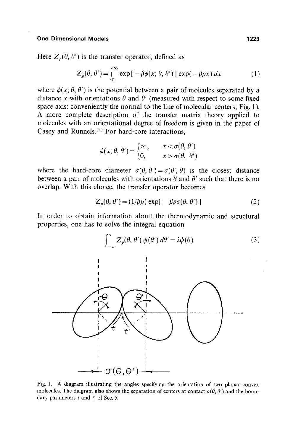Here  $Z_p(\theta, \theta')$  is the transfer operator, defined as

$$
Z_p(\theta, \theta') = \int_0^\infty \exp[-\beta \phi(x; \theta, \theta')] \exp(-\beta px) dx \tag{1}
$$

where  $\phi(x; \theta, \theta')$  is the potential between a pair of molcules separated by a distance x with orientations  $\theta$  and  $\theta'$  (measured with respect to some fixed space axis: conveniently the normal to the line of molecular centers; Fig. 1). A more complete description of the transfer matrix theory applied to molecules with an orientational degree of freedom is given in the paper of Casey and Runnels.<sup> $(7)$ </sup> For hard-core interactions,

$$
\phi(x; \theta, \theta') = \begin{cases} \infty, & x < \sigma(\theta, \theta') \\ 0, & x > \sigma(\theta, \theta') \end{cases}
$$

where the hard-core diameter  $\sigma(\theta, \theta') = \sigma(\theta', \theta)$  is the closest distance between a pair of molecules with orientations  $\theta$  and  $\theta'$  such that there is no overlap. With this choice, the transfer operator becomes

$$
Z_p(\theta, \theta') = (1/\beta p) \exp[-\beta p \sigma(\theta, \theta')]
$$
 (2)

In order to obtain information about the thermodynamic and structural properties, one has to solve the integral equation



Fig. 1. A diagram illustrating the angles specifying the orientation of two planar convex molecules. The diagram also shows the separation of centers at contact  $\sigma(\theta, \theta')$  and the boundary parameters  $t$  and  $t'$  of Sec. 5.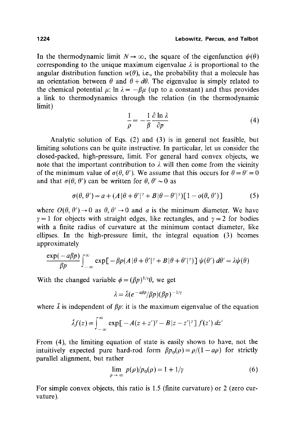#### **1224 Lebowitz, Percus, and Talbot**

In the thermodynamic limit  $N \rightarrow \infty$ , the square of the eigenfunction  $\psi(\theta)$ corresponding to the unique maximum eigenvalue  $\lambda$  is proportional to the angular distribution function  $w(\theta)$ , i.e., the probability that a molecule has an orientation between  $\theta$  and  $\theta + d\theta$ . The eigenvalue is simply related to the chemical potential  $\mu$ :  $\ln \lambda = -\beta \mu$  (up to a constant) and thus provides a link to thermodynamics through the relation (in the thermodynamic limit)

$$
\frac{1}{\rho} = -\frac{1}{\beta} \frac{\partial \ln \lambda}{\partial p} \tag{4}
$$

Analytic solution of Eqs. (2) and (3) is in general not feasible, but limiting solutions can be quite instructive. In particular, let us consider the closed-packed, high-pressure, limit. For general hard convex objects, we note that the important contribution to  $\lambda$  will then come from the vicinity of the minimum value of  $\sigma(\theta, \theta')$ . We assume that this occurs for  $\theta = \theta' = 0$ and that  $\sigma(\theta, \theta')$  can be written for  $\theta, \theta' \sim 0$  as

$$
\sigma(\theta, \theta') = a + (A|\theta + \theta'|^{\gamma} + B|\theta - \theta'|^{\gamma})[1 - o(\theta, \theta')]
$$
(5)

where  $O(\theta, \theta') \rightarrow 0$  as  $\theta, \theta' \rightarrow 0$  and a is the minimum diameter. We have  $\gamma = 1$  for objects with straight edges, like rectangles, and  $\gamma = 2$  for bodies with a finite radius of curvature at the minimum contact diameter, like ellipses. In the high-pressure limit, the integral equation (3) bcomes approximately

$$
\frac{\exp(-a\beta p)}{\beta p}\int_{-\infty}^{\infty}\exp[-\beta p(A|\theta+\theta'|^{\gamma}+B|\theta+\theta'|^{\gamma})]\,\psi(\theta')\,d\theta'=\lambda\psi(\theta)
$$

With the changed variable  $\phi = (\beta p)^{1/\gamma}\theta$ , we get

$$
\lambda = \bar{\lambda} (e^{-a\beta p}/\beta p)(\beta p)^{-1/2}
$$

where  $\bar{\lambda}$  is independent of  $\beta p$ : it is the maximum eigenvalue of the equation

$$
\tilde{\lambda}f(z) = \int_{-\infty}^{\infty} \exp[-A(z+z')^{\gamma} - B|z-z'|^{\gamma}] f(z') dz'
$$

From (4), the limiting equation of state is easily shown to have, not the intuitively expected pure hard-rod form  $\beta p_0(\rho) = \rho/(1 - a\rho)$  for strictly parallel alignment, but rather

$$
\lim_{p \to \infty} p(\rho)/p_0(\rho) = 1 + 1/\gamma \tag{6}
$$

For simple convex objects, this ratio is 1.5 (finite curvature) or 2 (zero curvature).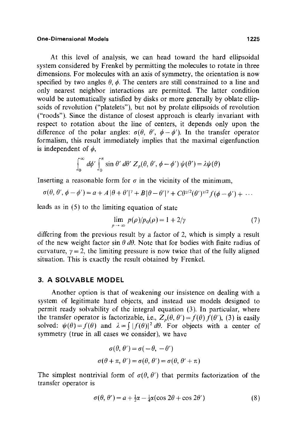At this level of analysis, we can head toward the hard ellipsoidal system considered by Frenkel by permitting the molecules to rotate in three dimensions. For molecules with an axis of symmetry, the orientation is now specified by two angles  $\theta$ ,  $\phi$ . The centers are still constrained to a line and only nearest neighbor interactions are permitted. The latter condition would be automatically satisfied by disks or more generally by oblate ellipsoids of revolution ("platelets"), but not by prolate ellipsoids of revolution ("roods"). Since the distance of closest approach is clearly invariant with respect to rotation about the line of centers, it depends only upon the difference of the polar angles:  $\sigma(\theta, \theta', \phi - \phi')$ . In the transfer operator formalism, this result immediately implies that the maximal eigenfunction is independent of  $\phi$ ,

$$
\int_0^\infty d\phi' \int_0^\pi \sin \theta' d\theta' Z_p(\theta, \theta', \phi - \phi') \psi(\theta') = \lambda \psi(\theta)
$$

Inserting a reasonable form for  $\sigma$  in the vicinity of the minimum,

$$
\sigma(\theta, \theta', \phi - \phi') = a + A \, |\theta + \theta'|^{\gamma} + B \, |\theta - \theta'|^{\gamma} + C \theta^{\gamma/2} (\theta')^{\gamma/2} f(\phi - \phi') + \, \dots
$$

leads as in (5) to the limiting equation of state

$$
\lim_{\rho \to \infty} p(\rho)/p_0(\rho) = 1 + 2/\gamma \tag{7}
$$

differing from the previous result by a factor of 2, which is simply a result of the new weight factor  $\sin \theta d\theta$ . Note that for bodies with finite radius of curvature,  $y = 2$ , the limiting pressure is now twice that of the fully aligned situation. This is exactly the result obtained by Frenkel.

### **3. A SOLVABLE MODEL**

Another option is that of weakening our insistence on dealing with a system of legitimate hard objects, and instead use models designed to permit ready solvability of the integral equation (3). In particular, where the transfer operator is factorizable, i.e.,  $Z_n(\theta, \theta') = f(\theta) f(\theta')$ , (3) is easily solved:  $\psi(\theta) = f(\theta)$  and  $\lambda = \int |f(\theta)|^2 d\theta$ . For objects with a center of symmetry (true in all cases we consider), we have

$$
\sigma(\theta, \theta') = \sigma(-\theta, -\theta')
$$

$$
\sigma(\theta + \pi, \theta') = \sigma(\theta, \theta') = \sigma(\theta, \theta' + \pi)
$$

The simplest nontrivial form of  $\sigma(\theta, \theta')$  that permits factorization of the transfer operator is

$$
\sigma(\theta, \theta') = a + \frac{1}{2}\alpha - \frac{1}{4}\alpha(\cos 2\theta + \cos 2\theta')
$$
 (8)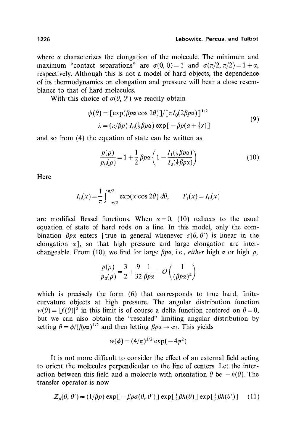where  $\alpha$  characterizes the elongation of the molecule. The minimum and maximum "contact separations" are  $\sigma(0, 0) = 1$  and  $\sigma(\pi/2, \pi/2) = 1 + \alpha$ , respectively. Although this is not a model of hard objects, the dependence of its thermodynamics on elongation and pressure will bear a close resemblance to that of hard molecules.

With this choice of  $\sigma(\theta, \theta')$  we readily obtain

$$
\psi(\theta) = \left[\exp(\beta p\alpha \cos 2\theta)\right]/\left[\pi I_0(2\beta p\alpha)\right]^{1/2}
$$
  

$$
\lambda = \left(\pi/\beta p\right) I_0\left(\frac{1}{2}\beta p\alpha\right) \exp\left[-\beta p(a + \frac{1}{2}\alpha)\right]
$$
 (9)

and so from (4) the equation of state can be written as

$$
\frac{p(\rho)}{p_0(\rho)} = 1 + \frac{1}{2} \beta p \alpha \left( 1 - \frac{I_1(\frac{1}{2}\beta p \alpha)}{I_0(\frac{1}{2}\beta p \alpha)} \right) \tag{10}
$$

Here

$$
I_0(x) = \frac{1}{\pi} \int_{-\pi/2}^{\pi/2} \exp(x \cos 2\theta) \, d\theta, \qquad I'_1(x) = I_0(x)
$$

are modified Bessel functions. When  $\alpha=0$ , (10) reduces to the usual equation of state of hard rods on a line. In this model, only the combination  $\beta p\alpha$  enters [true in general whenever  $\sigma(\theta, \theta')$  is linear in the elongation  $\alpha$ ], so that high pressure and large elongation are interchangeable. From (10), we find for large  $\beta p\alpha$ , i.e., *either* high  $\alpha$  or high p,

$$
\frac{p(\rho)}{p_0(\rho)} = \frac{3}{2} + \frac{9}{32} \frac{1}{\beta p \alpha} + O\left(\frac{1}{(\beta p \alpha)^2}\right)
$$

which is precisely the form (6) that corresponds to true hard, finitecurvature objects at high pressure. The angular distribution function  $w(\theta) = |f(\theta)|^2$  in this limit is of course a delta function centered on  $\theta = 0$ , but we can also obtain the "rescaled" limiting angular distribution by setting  $\theta = \phi/(\beta p\alpha)^{1/2}$  and then letting  $\beta p\alpha \rightarrow \infty$ . This yields

$$
\bar{w}(\phi) = (4/\pi)^{1/2} \exp(-4\phi^2)
$$

It is not more difficult to consider the effect of an external field acting to orient the molecules perpendicular to the line of centers. Let the interaction between this field and a molecule with orientation  $\theta$  be  $-h(\theta)$ . The transfer operator is now

$$
Z_p(\theta, \theta') = (1/\beta p) \exp[-\beta p \sigma(\theta, \theta')] \exp[\frac{1}{2}\beta h(\theta)] \exp[\frac{1}{2}\beta h(\theta')]
$$
 (11)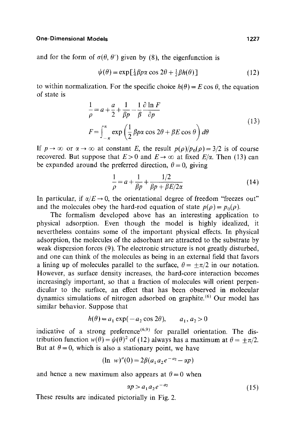and for the form of  $\sigma(\theta, \theta')$  given by (8), the eigenfunction is

$$
\psi(\theta) = \exp\left[\frac{1}{4}\beta p\alpha\cos 2\theta + \frac{1}{2}\beta h(\theta)\right]
$$
 (12)

to within normalization. For the specific choice  $h(\theta) = E \cos \theta$ , the equation of state is

$$
\frac{1}{\rho} = a + \frac{a}{2} + \frac{1}{\beta p} - \frac{1}{\beta} \frac{\partial \ln F}{\partial p}
$$
\n
$$
F = \int_{-\pi}^{\pi} \exp\left(\frac{1}{2} \beta p \alpha \cos 2\theta + \beta E \cos \theta\right) d\theta
$$
\n(13)

If  $p \to \infty$  or  $\alpha \to \infty$  at constant E, the result  $p(\rho)/p_0(\rho) = 3/2$  is of course recovered. But suppose that  $E>0$  and  $E\rightarrow\infty$  at fixed  $E/\alpha$ . Then (13) can be expanded around the preferred direction,  $\theta = 0$ , giving

$$
\frac{1}{\rho} = a + \frac{1}{\beta p} + \frac{1/2}{\beta p + \beta E/2\alpha} \tag{14}
$$

In particular, if  $\alpha/E \rightarrow 0$ , the orientational degree of freedom "freezes out" and the molecules obey the hard-rod equation of state  $p(\rho) = p_0(\rho)$ .

The formalism developed above has an interesting application to physical adsorption. Even though the model is highly idealized, it nevertheless contains some of the important physical effects. In physical adsorption, the molecules of the adsorbant are attracted to the substrate by weak dispersion forces (9). The electronic structure is not greatly disturbed, and one can think of the molecules as being in an external field that favors a lining up of molecules parallel to the surface,  $\theta = \pm \pi/2$  in our notation. However, as surface density increases, the hard-core interaction becomes increasingly important, so that a fraction of molecules will orient perpendicular to the surface, an effect that has been observed in molecular dynamics simulations of nitrogen adsorbed on graphite. (6) Our model has similar behavior. Suppose that

$$
h(\theta) = a_1 \exp(-a_2 \cos 2\theta), \qquad a_1, a_2 > 0
$$

indicative of a strong preference<sup> $(6,9)$ </sup> for parallel orientation. The distribution function  $w(\theta) = \psi(\theta)^2$  of (12) always has a maximum at  $\theta = \pm \pi/2$ . But at  $\theta = 0$ , which is also a stationary point, we have

$$
(\ln w)''(0) = 2\beta(a_1a_2e^{-a_2} - \alpha p)
$$

and hence a new maximum also appears at  $\theta = 0$  when

$$
\alpha p > a_1 a_2 e^{-a_2} \tag{15}
$$

These results are indicated pictorially in Fig. 2.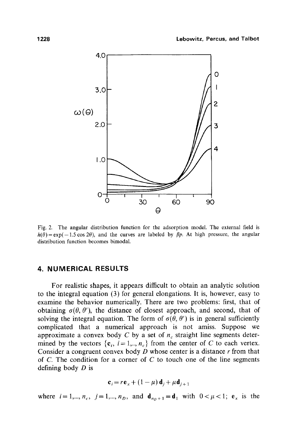

Fig. 2. The angular distribution function for the adsorption model. The external field is  $h(\theta) = \exp(-1.5 \cos 2\theta)$ , and the curves are labeled by  $\beta p$ . At high pressure, the angular distribution function becomes bimodal.

# **4. NUMERICAL RESULTS**

For realistic shapes, it appears difficult to obtain an analytic solution to the integral equation (3) for general elongations. It is, however, easy to examine the behavior numerically. There are two problems: first, that of obtaining  $\sigma(\theta, \theta')$ , the distance of closest approach, and second, that of solving the integral equation. The form of  $\sigma(\theta, \theta')$  is in general sufficiently complicated that a numerical approach is not amiss. Suppose we approximate a convex body C by a set of  $n_c$  straight line segments determined by the vectors  $\{c_i, i=1, ..., n_c\}$  from the center of C to each vertex. Consider a congruent convex body  $D$  whose center is a distance  $r$  from that of  $C$ . The condition for a corner of  $C$  to touch one of the line segments defining body D is

$$
\mathbf{c}_i = r\mathbf{e}_x + (1 - \mu)\mathbf{d}_j + \mu\mathbf{d}_{j+1}
$$

where  $i=1,...,n_c$ ,  $j=1,...,n_D$ , and  $\mathbf{d}_{n_D+1}=\mathbf{d}_1$  with  $0<\mu<1$ ;  $\mathbf{e}_x$  is the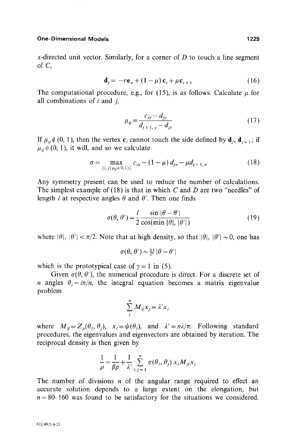x-directed unit vector. Similarly, for a corner of  $D$  to touch a line segment of  $C$ ,

$$
\mathbf{d}_{j} = -r \mathbf{e}_{x} + (1 - \mu) \mathbf{c}_{i} + \mu \mathbf{c}_{i+1}
$$
 (16)

The computational procedure, e.g., for (15), is as follows. Calculate  $\mu$  for all combinations of  $i$  and  $j$ ,

$$
\mu_{ij} = \frac{c_{iy} - d_{jy}}{d_{j+1, y} - d_{jy}}
$$
\n(17)

If  $\mu_{ii} \notin (0, 1)$ , then the vertex  $\mathbf{c}_i$  cannot touch the side defined by  $\mathbf{d}_i$ ,  $\mathbf{d}_{i+1}$ ; if  $\mu_{ij} \in (0, 1)$ , it will, and so we calculate

$$
\sigma = \max_{\{i,j \mid \mu_{ij} \in 0,1\}} c_{ix} - (1 - \mu) d_{jx} - \mu d_{j+1,x}
$$
(18)

Any symmetry present can be used to reduce the number of calculations. The simplest example of (18) is that in which C and D are two "needles" of length *l* at respective angles  $\theta$  and  $\theta'$ . Then one finds

$$
\sigma(\theta, \theta') = \frac{l}{2} \frac{\sin |\theta - \theta'|}{\cos(\min |\theta|, |\theta'|)}
$$
(19)

where  $|\theta|$ ,  $|\theta'| < \pi/2$ . Note that at high density, so that  $|\theta|$ ,  $|\theta'| \sim 0$ , one has

$$
\sigma(\theta, \theta') \sim \frac{1}{2}l \, |\theta - \theta'|
$$

which is the prototypical case of  $\gamma = 1$  in (5).

Given  $\sigma(\theta, \theta')$ , the numerical procedure is direct. For a discrete set of n angles  $\theta_i = i\pi/n$ , the integral equation becomes a matrix eigenvalue problem

$$
\sum_{i}^{n} M_{ij} x_{j} = \lambda' x_{i}
$$

where  $M_{ii}=Z_p(\theta_i, \theta_i)$ ,  $x_i=\psi(\theta_i)$ , and  $\lambda'=\frac{n\lambda}{\pi}$ . Following standard procedures, the eigenvalues and eigenvectors are obtained by iteration. The reciprocal density is then given by

$$
\frac{1}{\rho} = \frac{1}{\beta p} + \frac{1}{\lambda'} \sum_{i,j=1}^{n} \sigma(\theta_i, \theta_j) x_i M_{ij} x_j
$$

The number of divisions  $n$  of the angular range required to effect an accurate solution depends to a large extent on the elongation, but  $n = 80 - 160$  was found to be satisfactory for the situations we considered.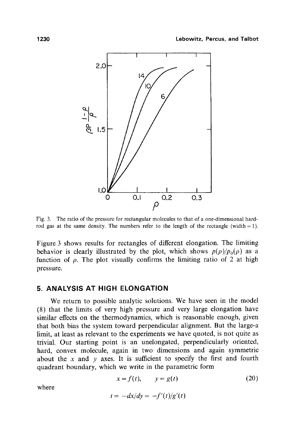

Fig. 3. The ratio of the pressure for rectangular molecules to that of a one-dimensional hardrod gas at the same density. The numbers refer to the length of the rectangle (width  $= 1$ ).

Figure 3 shows results for rectangles of different elongation. The limiting behavior is clearly illustrated by the plot, which shows  $p(\rho)/p_0(\rho)$  as a function of  $\rho$ . The plot visually confirms the limiting ratio of 2 at high pressure.

# **5. ANALYSIS AT HIGH ELONGATION**

We return to possible analytic solutions. We have seen in the model (8) that the limits of very high pressure and very large elongation have similar effects on the thermodynamics, which is reasonable enough, given that both bias the system toward perpendicular alignment. But the large- $\alpha$ limit, at least as relevant to the experiments we have quoted, is not quite as trivial. Our starting point is an unelongated, perpendicularly oriented, hard, convex molecule, again in two dimensions and again symmetric about the x and y axes. It is sufficient to specify the first and fourth quadrant boundary, which we write in the parametric form

$$
x = f(t), \qquad y = g(t) \tag{20}
$$

where

$$
t = -dx/dy = -f'(t)/g'(t)
$$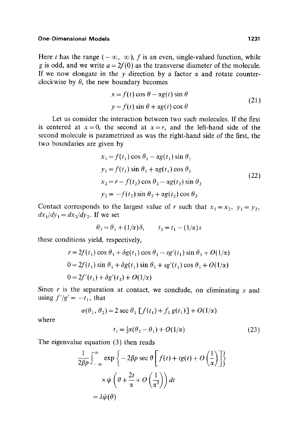Here t has the range  $(-\infty, \infty)$ , f is an even, single-valued function, while g is odd, and we write  $a = 2f(0)$  as the transverse diameter of the molecule. If we now elongate in the y direction by a factor  $\alpha$  and rotate counterclockwise by  $\theta$ , the new boundary becomes

$$
x = f(t)\cos\theta - \alpha g(t)\sin\theta
$$
  
\n
$$
y = f(t)\sin\theta + \alpha g(t)\cos\theta
$$
 (21)

Let us consider the interaction between two such molecules. If the first is centered at  $x=0$ , the second at  $x=r$ , and the left-hand side of the second molecule is parametrized as was the right-hand side of the first, the two boundaries are given by

$$
x_1 = f(t_1) \cos \theta_1 - \alpha g(t_1) \sin \theta_1
$$
  
\n
$$
y_1 = f(t_1) \sin \theta_1 + \alpha g(t_1) \cos \theta_1
$$
  
\n
$$
x_2 = r - f(t_2) \cos \theta_2 - \alpha g(t_2) \sin \theta_2
$$
  
\n
$$
y_2 = -f(t_2) \sin \theta_2 + \alpha g(t_2) \cos \theta_2
$$
\n(22)

Contact corresponds to the largest value of r such that  $x_1 = x_2$ ,  $y_1 = y_2$ ,  $dx_1/dy_1 = dx_2/dy_2$ . If we set

$$
\theta_2 = \theta_1 + (1/\alpha)\delta, \qquad t_2 = t_1 - (1/\alpha)s
$$

these conditions yield, respectively,

$$
r = 2f(t_1)\cos\theta_1 + \delta g(t_1)\cos\theta_1 - sg'(t_1)\sin\theta_1 + O(1/\alpha)
$$
  
\n
$$
0 = 2f(t_1)\sin\theta_1 + \delta g(t_1)\sin\theta_1 + sg'(t_1)\cos\theta_1 + O(1/\alpha)
$$
  
\n
$$
0 = 2f'(t_1) + \delta g'(t_1) + O(1/\alpha)
$$

Since  $r$  is the separation at contact, we conclude, on eliminating  $s$  and using  $f'/g' = -t_1$ , that

$$
\sigma(\theta_1, \theta_2) = 2 \sec \theta_1 \left[ f(t_1) + f_1 g(t_1) \right] + O(1/\alpha)
$$

where

$$
t_1 = \frac{1}{2}\alpha(\theta_2 - \theta_1) + O(1/\alpha)
$$
 (23)

The eigenvalue equation (3) then reads

$$
\frac{1}{2\beta p} \int_{-\infty}^{\infty} \exp \left\{-2\beta p \sec \theta \left[f(t) + tg(t) + O\left(\frac{1}{\alpha}\right)\right]\right\}
$$

$$
\times \psi \left(\theta + \frac{2t}{\alpha} + O\left(\frac{1}{\alpha^2}\right)\right) dt
$$

$$
= \lambda \psi(\theta)
$$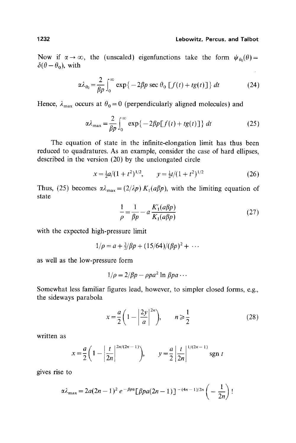### **1232 Lebowitz, Percus, and Talbot**

Now if  $\alpha \rightarrow \infty$ , the (unscaled) eigenfunctions take the form  $\psi_{\theta_0}(\theta)$  =  $\delta(\theta - \theta_0)$ , with

$$
\alpha \lambda_{\theta_0} = \frac{2}{\beta p} \int_0^\infty \exp\{-2\beta p \sec \theta_0 \left[f(t) + tg(t)\right]\} dt \tag{24}
$$

Hence,  $\lambda_{\text{max}}$  occurs at  $\theta_0 = 0$  (perpendicularly aligned molecules) and

$$
\alpha \lambda_{\max} = \frac{2}{\beta p} \int_0^\infty \exp\{-2\beta p[f(t) + tg(t)]\} dt \qquad (25)
$$

The equation of state in the infinite-elongation limit has thus been reduced to quadratures. As an example, consider the case of hard ellipses, described in the version (20) by the unelongated circle

$$
x = \frac{1}{2}a/(1+t^2)^{1/2}, \qquad y = \frac{1}{2}t/(1+t^2)^{1/2} \tag{26}
$$

Thus, (25) becomes  $\alpha \lambda_{\text{max}} = (2/\lambda p) K_1(a \beta p)$ , with the limiting equation of state

$$
\frac{1}{\rho} = \frac{1}{\beta p} - a \frac{K_1'(a\beta p)}{K_1(a\beta p)}\tag{27}
$$

with the expected high-pressure limit

$$
1/\rho = a + \frac{3}{2}/\beta p + (15/64)/(\beta p)^2 + \cdots
$$

as well as the low-pressure form

$$
1/\rho = 2/\beta p - \rho p a^2 \ln \beta p a \cdots
$$

Somewhat less familiar figures lead, however, to simpler closed forms, e.g., the sideways parabola

$$
x = \frac{a}{2} \left( 1 - \left| \frac{2y}{a} \right|^{2n} \right), \qquad n \ge \frac{1}{2} \tag{28}
$$

written as

$$
x = \frac{a}{2} \left( 1 - \left| \frac{t}{2n} \right|^{2n/(2n-1)} \right), \qquad y = \frac{a}{2} \left| \frac{t}{2n} \right|^{1/(2n-1)} \text{sgn } t
$$

gives rise to

$$
\alpha\lambda_{\max} = 2a(2n-1)^2 e^{-\beta p\alpha} \left[\beta p a(2n-1)\right]^{-(4n-1)/2n} \left(-\frac{1}{2n}\right)!
$$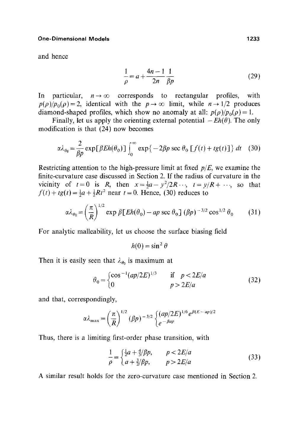and hence

$$
\frac{1}{\rho} = a + \frac{4n - 1}{2n} \frac{1}{\beta p}
$$
 (29)

In particular,  $n \to \infty$  corresponds to rectangular profiles, with  $p(\rho)/p_0(\rho)=2$ , identical with the  $p\to\infty$  limit, while  $n\to 1/2$  produces diamond-shaped profiles, which show no anomaly at all:  $p(\rho)/p_0(\rho) = 1$ .

Finally, let us apply the orienting external potential  $-Eh(\theta)$ . The only modification is that (24) now becomes

$$
\alpha \lambda_{\theta_0} = \frac{2}{\beta p} \exp[\beta Eh(\theta_0)] \int_0^\infty \exp\{-2\beta p \sec \theta_0 [f(t) + tg(t)]\} dt \quad (30)
$$

Restricting attention to the high-pressure limit at fixed *p/E,* we examine the finite-curvature case discussed in Section 2. If the radius of curvature in the vicinity of  $t=0$  is R, then  $x=\frac{1}{2}a - y^2/2R \dots$ ,  $t = y/R + \dots$ , so that  $f(t) + tg(t) = \frac{1}{2}a + \frac{1}{2}Rt^2$  near  $t = 0$ . Hence, (30) reduces to

$$
\alpha \lambda_{\theta_0} = \left(\frac{\pi}{R}\right)^{1/2} \exp \beta \left[Eh(\theta_0) - ap \sec \theta_0\right] (\beta p)^{-3/2} \cos^{1/2} \theta_0 \tag{31}
$$

For analytic malleability, let us choose the surface biasing field

$$
h(0) = \sin^2 \theta
$$

Then it is easily seen that  $\lambda_{\theta_0}$  is maximum at

$$
\theta_0 = \begin{cases} \cos^{-1}(ap/2E)^{1/3} & \text{if } p < 2E/a\\ 0 & p > 2E/a \end{cases}
$$
(32)

and that, correspondingly,

$$
\alpha\lambda_{\max} = \left(\frac{\pi}{R}\right)^{1/2} (\beta p)^{-3/2} \begin{cases} (ap/2E)^{1/6} e^{\beta(E-ap)/2} \\ e^{-\beta ap} \end{cases}
$$

Thus, there is a limiting first-order phase transition, with

$$
\frac{1}{\rho} = \begin{cases} \frac{1}{2}a + \frac{4}{3}/\beta p, & p < 2E/a \\ a + \frac{3}{2}/\beta p, & p > 2E/a \end{cases}
$$
(33)

A similar result holds for the zero-curvature case mentioned in Section 2.